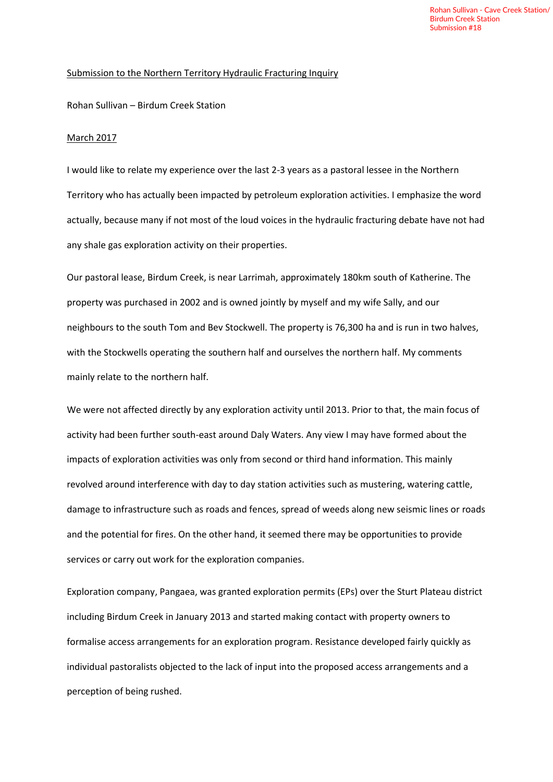## Submission to the Northern Territory Hydraulic Fracturing Inquiry

Rohan Sullivan – Birdum Creek Station

## March 2017

I would like to relate my experience over the last 2-3 years as a pastoral lessee in the Northern Territory who has actually been impacted by petroleum exploration activities. I emphasize the word actually, because many if not most of the loud voices in the hydraulic fracturing debate have not had any shale gas exploration activity on their properties.

Our pastoral lease, Birdum Creek, is near Larrimah, approximately 180km south of Katherine. The property was purchased in 2002 and is owned jointly by myself and my wife Sally, and our neighbours to the south Tom and Bev Stockwell. The property is 76,300 ha and is run in two halves, with the Stockwells operating the southern half and ourselves the northern half. My comments mainly relate to the northern half.

We were not affected directly by any exploration activity until 2013. Prior to that, the main focus of activity had been further south-east around Daly Waters. Any view I may have formed about the impacts of exploration activities was only from second or third hand information. This mainly revolved around interference with day to day station activities such as mustering, watering cattle, damage to infrastructure such as roads and fences, spread of weeds along new seismic lines or roads and the potential for fires. On the other hand, it seemed there may be opportunities to provide services or carry out work for the exploration companies.

Exploration company, Pangaea, was granted exploration permits (EPs) over the Sturt Plateau district including Birdum Creek in January 2013 and started making contact with property owners to formalise access arrangements for an exploration program. Resistance developed fairly quickly as individual pastoralists objected to the lack of input into the proposed access arrangements and a perception of being rushed.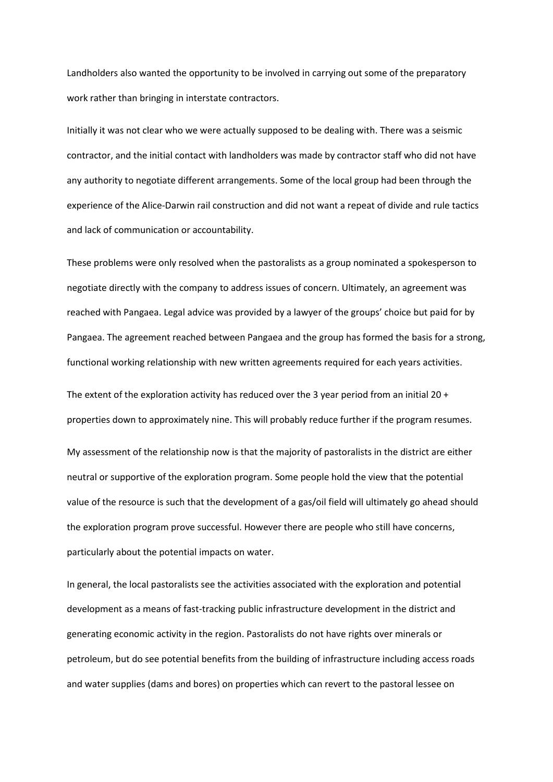Landholders also wanted the opportunity to be involved in carrying out some of the preparatory work rather than bringing in interstate contractors.

Initially it was not clear who we were actually supposed to be dealing with. There was a seismic contractor, and the initial contact with landholders was made by contractor staff who did not have any authority to negotiate different arrangements. Some of the local group had been through the experience of the Alice-Darwin rail construction and did not want a repeat of divide and rule tactics and lack of communication or accountability.

These problems were only resolved when the pastoralists as a group nominated a spokesperson to negotiate directly with the company to address issues of concern. Ultimately, an agreement was reached with Pangaea. Legal advice was provided by a lawyer of the groups' choice but paid for by Pangaea. The agreement reached between Pangaea and the group has formed the basis for a strong, functional working relationship with new written agreements required for each years activities.

The extent of the exploration activity has reduced over the 3 year period from an initial 20 + properties down to approximately nine. This will probably reduce further if the program resumes. My assessment of the relationship now is that the majority of pastoralists in the district are either neutral or supportive of the exploration program. Some people hold the view that the potential value of the resource is such that the development of a gas/oil field will ultimately go ahead should the exploration program prove successful. However there are people who still have concerns, particularly about the potential impacts on water.

In general, the local pastoralists see the activities associated with the exploration and potential development as a means of fast-tracking public infrastructure development in the district and generating economic activity in the region. Pastoralists do not have rights over minerals or petroleum, but do see potential benefits from the building of infrastructure including access roads and water supplies (dams and bores) on properties which can revert to the pastoral lessee on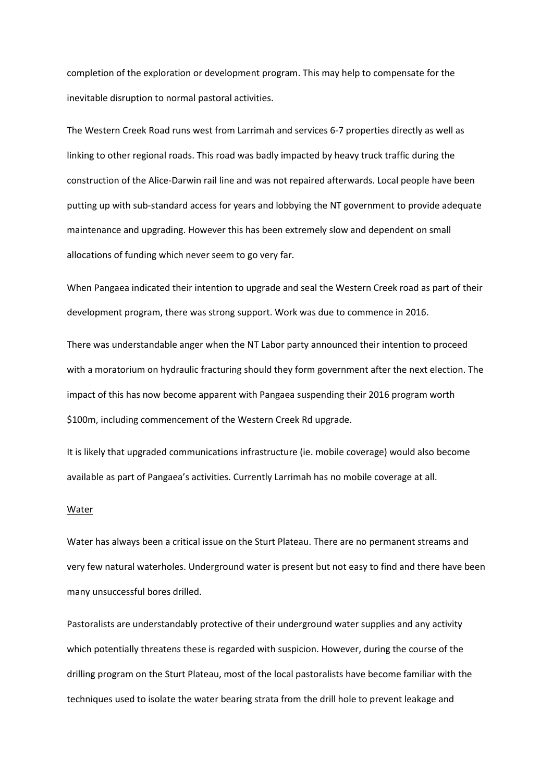completion of the exploration or development program. This may help to compensate for the inevitable disruption to normal pastoral activities.

The Western Creek Road runs west from Larrimah and services 6-7 properties directly as well as linking to other regional roads. This road was badly impacted by heavy truck traffic during the construction of the Alice-Darwin rail line and was not repaired afterwards. Local people have been putting up with sub-standard access for years and lobbying the NT government to provide adequate maintenance and upgrading. However this has been extremely slow and dependent on small allocations of funding which never seem to go very far.

When Pangaea indicated their intention to upgrade and seal the Western Creek road as part of their development program, there was strong support. Work was due to commence in 2016.

There was understandable anger when the NT Labor party announced their intention to proceed with a moratorium on hydraulic fracturing should they form government after the next election. The impact of this has now become apparent with Pangaea suspending their 2016 program worth \$100m, including commencement of the Western Creek Rd upgrade.

It is likely that upgraded communications infrastructure (ie. mobile coverage) would also become available as part of Pangaea's activities. Currently Larrimah has no mobile coverage at all.

## Water

Water has always been a critical issue on the Sturt Plateau. There are no permanent streams and very few natural waterholes. Underground water is present but not easy to find and there have been many unsuccessful bores drilled.

Pastoralists are understandably protective of their underground water supplies and any activity which potentially threatens these is regarded with suspicion. However, during the course of the drilling program on the Sturt Plateau, most of the local pastoralists have become familiar with the techniques used to isolate the water bearing strata from the drill hole to prevent leakage and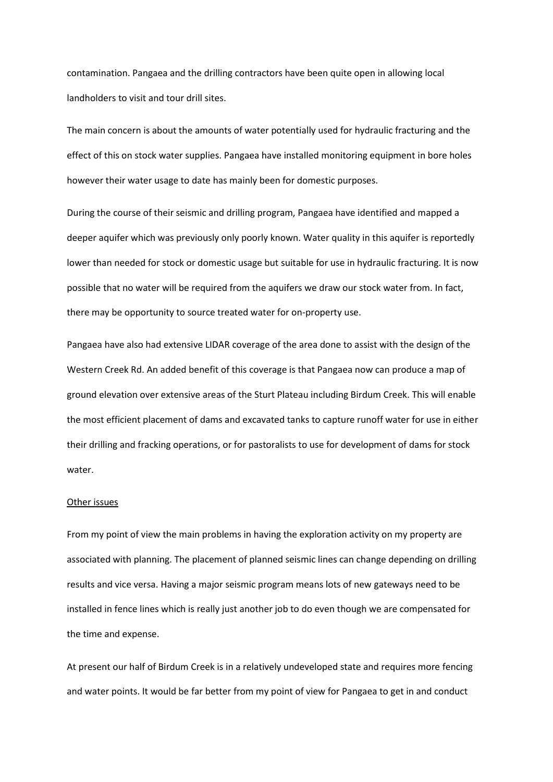contamination. Pangaea and the drilling contractors have been quite open in allowing local landholders to visit and tour drill sites.

The main concern is about the amounts of water potentially used for hydraulic fracturing and the effect of this on stock water supplies. Pangaea have installed monitoring equipment in bore holes however their water usage to date has mainly been for domestic purposes.

During the course of their seismic and drilling program, Pangaea have identified and mapped a deeper aquifer which was previously only poorly known. Water quality in this aquifer is reportedly lower than needed for stock or domestic usage but suitable for use in hydraulic fracturing. It is now possible that no water will be required from the aquifers we draw our stock water from. In fact, there may be opportunity to source treated water for on-property use.

Pangaea have also had extensive LIDAR coverage of the area done to assist with the design of the Western Creek Rd. An added benefit of this coverage is that Pangaea now can produce a map of ground elevation over extensive areas of the Sturt Plateau including Birdum Creek. This will enable the most efficient placement of dams and excavated tanks to capture runoff water for use in either their drilling and fracking operations, or for pastoralists to use for development of dams for stock water.

## Other issues

From my point of view the main problems in having the exploration activity on my property are associated with planning. The placement of planned seismic lines can change depending on drilling results and vice versa. Having a major seismic program means lots of new gateways need to be installed in fence lines which is really just another job to do even though we are compensated for the time and expense.

At present our half of Birdum Creek is in a relatively undeveloped state and requires more fencing and water points. It would be far better from my point of view for Pangaea to get in and conduct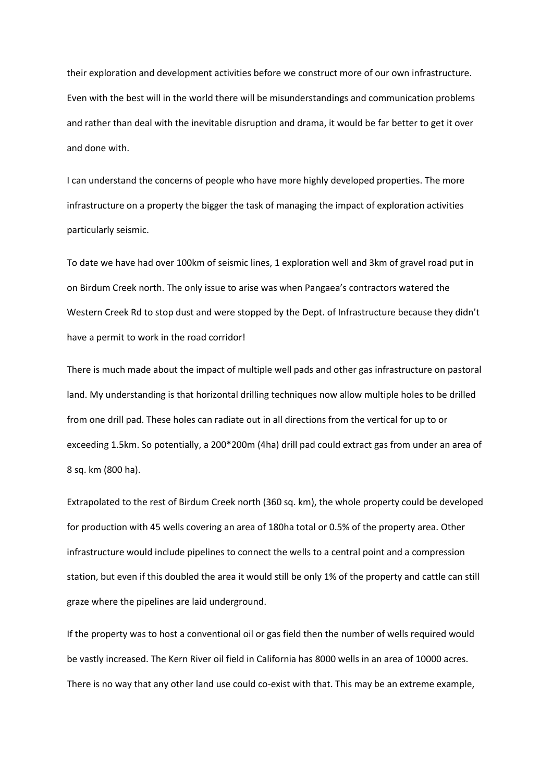their exploration and development activities before we construct more of our own infrastructure. Even with the best will in the world there will be misunderstandings and communication problems and rather than deal with the inevitable disruption and drama, it would be far better to get it over and done with.

I can understand the concerns of people who have more highly developed properties. The more infrastructure on a property the bigger the task of managing the impact of exploration activities particularly seismic.

To date we have had over 100km of seismic lines, 1 exploration well and 3km of gravel road put in on Birdum Creek north. The only issue to arise was when Pangaea's contractors watered the Western Creek Rd to stop dust and were stopped by the Dept. of Infrastructure because they didn't have a permit to work in the road corridor!

There is much made about the impact of multiple well pads and other gas infrastructure on pastoral land. My understanding is that horizontal drilling techniques now allow multiple holes to be drilled from one drill pad. These holes can radiate out in all directions from the vertical for up to or exceeding 1.5km. So potentially, a 200\*200m (4ha) drill pad could extract gas from under an area of 8 sq. km (800 ha).

Extrapolated to the rest of Birdum Creek north (360 sq. km), the whole property could be developed for production with 45 wells covering an area of 180ha total or 0.5% of the property area. Other infrastructure would include pipelines to connect the wells to a central point and a compression station, but even if this doubled the area it would still be only 1% of the property and cattle can still graze where the pipelines are laid underground.

If the property was to host a conventional oil or gas field then the number of wells required would be vastly increased. The Kern River oil field in California has 8000 wells in an area of 10000 acres. There is no way that any other land use could co-exist with that. This may be an extreme example,